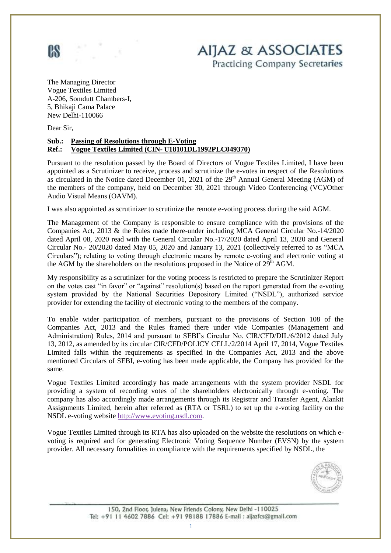

**AIJAZ & ASSOCIATES Practicing Company Secretaries** 

The Managing Director Vogue Textiles Limited A-206, Somdutt Chambers-I, 5, Bhikaji Cama Palace New Delhi-110066

Dear Sir,

#### **Sub.: Passing of Resolutions through E-Voting Ref.: Vogue Textiles Limited (CIN- U18101DL1992PLC049370)**

Pursuant to the resolution passed by the Board of Directors of Vogue Textiles Limited, I have been appointed as a Scrutinizer to receive, process and scrutinize the e-votes in respect of the Resolutions as circulated in the Notice dated December 01, 2021 of the  $29<sup>th</sup>$  Annual General Meeting (AGM) of the members of the company, held on December 30, 2021 through Video Conferencing (VC)/Other Audio Visual Means (OAVM).

I was also appointed as scrutinizer to scrutinize the remote e-voting process during the said AGM.

The Management of the Company is responsible to ensure compliance with the provisions of the Companies Act, 2013 & the Rules made there-under including MCA General Circular No.-14/2020 dated April 08, 2020 read with the General Circular No.-17/2020 dated April 13, 2020 and General Circular No.- 20/2020 dated May 05, 2020 and January 13, 2021 (collectively referred to as "MCA Circulars"); relating to voting through electronic means by remote e-voting and electronic voting at the AGM by the shareholders on the resolutions proposed in the Notice of  $29<sup>th</sup>$  AGM.

My responsibility as a scrutinizer for the voting process is restricted to prepare the Scrutinizer Report on the votes cast "in favor" or "against" resolution(s) based on the report generated from the e-voting system provided by the National Securities Depository Limited ("NSDL"), authorized service provider for extending the facility of electronic voting to the members of the company.

To enable wider participation of members, pursuant to the provisions of Section 108 of the Companies Act, 2013 and the Rules framed there under vide Companies (Management and Administration) Rules, 2014 and pursuant to SEBI's Circular No. CIR/CFD/DIL/6/2012 dated July 13, 2012, as amended by its circular CIR/CFD/POLICY CELL/2/2014 April 17, 2014, Vogue Textiles Limited falls within the requirements as specified in the Companies Act, 2013 and the above mentioned Circulars of SEBI, e-voting has been made applicable, the Company has provided for the same.

Vogue Textiles Limited accordingly has made arrangements with the system provider NSDL for providing a system of recording votes of the shareholders electronically through e-voting. The company has also accordingly made arrangements through its Registrar and Transfer Agent, Alankit Assignments Limited, herein after referred as (RTA or TSRL) to set up the e-voting facility on the NSDL e-voting website http:/[/www.evoting.nsdl.com.](http://www.evoting.nsdl.com/)

Vogue Textiles Limited through its RTA has also uploaded on the website the resolutions on which evoting is required and for generating Electronic Voting Sequence Number (EVSN) by the system provider. All necessary formalities in compliance with the requirements specified by NSDL, the



150, 2nd Floor, Julena, New Friends Colony, New Delhi -110025 Tel: +91 11 4602 7886 Cel: +91 98188 17886 E-mail : aijazfcs@gmail.com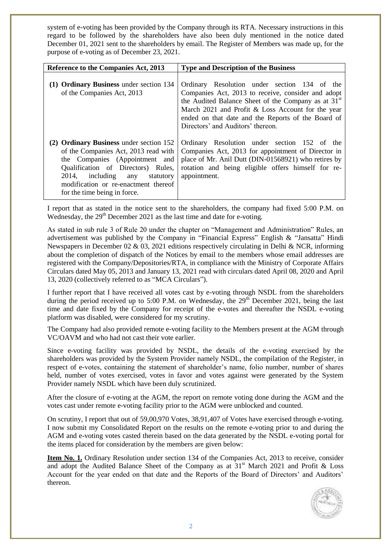system of e-voting has been provided by the Company through its RTA. Necessary instructions in this regard to be followed by the shareholders have also been duly mentioned in the notice dated December 01, 2021 sent to the shareholders by email. The Register of Members was made up, for the purpose of e-voting as of December 23, 2021.

| Reference to the Companies Act, 2013                                                                                                                                                                                                                                | <b>Type and Description of the Business</b>                                                                                                                                                                                                                                                                           |
|---------------------------------------------------------------------------------------------------------------------------------------------------------------------------------------------------------------------------------------------------------------------|-----------------------------------------------------------------------------------------------------------------------------------------------------------------------------------------------------------------------------------------------------------------------------------------------------------------------|
| (1) Ordinary Business under section 134<br>of the Companies Act, 2013                                                                                                                                                                                               | Ordinary Resolution under section 134 of the<br>Companies Act, 2013 to receive, consider and adopt<br>the Audited Balance Sheet of the Company as at 31 <sup>st</sup><br>March 2021 and Profit & Loss Account for the year<br>ended on that date and the Reports of the Board of<br>Directors' and Auditors' thereon. |
| (2) Ordinary Business under section 152<br>of the Companies Act, 2013 read with<br>the Companies (Appointment and<br>Qualification of Directors) Rules,<br>2014, including any<br>statutory<br>modification or re-enactment thereof<br>for the time being in force. | Ordinary Resolution under section 152 of the<br>Companies Act, 2013 for appointment of Director in<br>place of Mr. Anil Dutt (DIN-01568921) who retires by<br>rotation and being eligible offers himself for re-<br>appointment.                                                                                      |

I report that as stated in the notice sent to the shareholders, the company had fixed 5:00 P.M. on Wednesday, the  $29<sup>th</sup>$  December 2021 as the last time and date for e-voting.

As stated in sub rule 3 of Rule 20 under the chapter on "Management and Administration" Rules, an advertisement was published by the Company in "Financial Express" English & "Jansatta" Hindi Newspapers in December 02 & 03, 2021 editions respectively circulating in Delhi & NCR, informing about the completion of dispatch of the Notices by email to the members whose email addresses are registered with the Company/Depositories/RTA, in compliance with the Ministry of Corporate Affairs Circulars dated May 05, 2013 and January 13, 2021 read with circulars dated April 08, 2020 and April 13, 2020 (collectively referred to as "MCA Circulars").

I further report that I have received all votes cast by e-voting through NSDL from the shareholders during the period received up to 5:00 P.M. on Wednesday, the  $29<sup>th</sup>$  December 2021, being the last time and date fixed by the Company for receipt of the e-votes and thereafter the NSDL e-voting platform was disabled, were considered for my scrutiny.

The Company had also provided remote e-voting facility to the Members present at the AGM through VC/OAVM and who had not cast their vote earlier.

Since e-voting facility was provided by NSDL, the details of the e-voting exercised by the shareholders was provided by the System Provider namely NSDL, the compilation of the Register, in respect of e-votes, containing the statement of shareholder's name, folio number, number of shares held, number of votes exercised, votes in favor and votes against were generated by the System Provider namely NSDL which have been duly scrutinized.

After the closure of e-voting at the AGM, the report on remote voting done during the AGM and the votes cast under remote e-voting facility prior to the AGM were unblocked and counted.

On scrutiny, I report that out of 59,00,970 Votes, 38,91,407 of Votes have exercised through e-voting. I now submit my Consolidated Report on the results on the remote e-voting prior to and during the AGM and e-voting votes casted therein based on the data generated by the NSDL e-voting portal for the items placed for consideration by the members are given below:

**Item No. 1.** Ordinary Resolution under section 134 of the Companies Act, 2013 to receive, consider and adopt the Audited Balance Sheet of the Company as at  $31<sup>st</sup>$  March 2021 and Profit & Loss Account for the year ended on that date and the Reports of the Board of Directors' and Auditors' thereon.

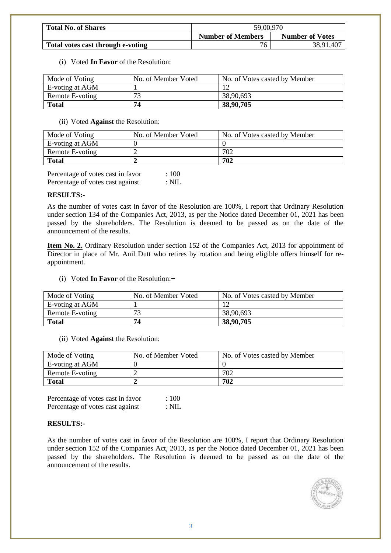| <b>Total No. of Shares</b>        | 59,00,970                |                        |
|-----------------------------------|--------------------------|------------------------|
|                                   | <b>Number of Members</b> | <b>Number of Votes</b> |
| Total votes cast through e-voting | 76                       | 38,91,407              |

#### (i) Voted **In Favor** of the Resolution:

| Mode of Voting  | No. of Member Voted | No. of Votes casted by Member |
|-----------------|---------------------|-------------------------------|
| E-voting at AGM |                     |                               |
| Remote E-voting | 72                  | 38,90,693                     |
| Total           | 74                  | 38,90,705                     |

(ii) Voted **Against** the Resolution:

| Mode of Voting  | No. of Member Voted | No. of Votes casted by Member |
|-----------------|---------------------|-------------------------------|
| E-voting at AGM |                     |                               |
| Remote E-voting |                     | 702                           |
| <b>Total</b>    |                     | 702                           |

Percentage of votes cast in favor : 100 Percentage of votes cast against : NIL

## **RESULTS:-**

As the number of votes cast in favor of the Resolution are 100%, I report that Ordinary Resolution under section 134 of the Companies Act, 2013, as per the Notice dated December 01, 2021 has been passed by the shareholders. The Resolution is deemed to be passed as on the date of the announcement of the results.

**Item No. 2.** Ordinary Resolution under section 152 of the Companies Act, 2013 for appointment of Director in place of Mr. Anil Dutt who retires by rotation and being eligible offers himself for reappointment.

(i) Voted **In Favor** of the Resolution:+

| Mode of Voting  | No. of Member Voted | No. of Votes casted by Member |
|-----------------|---------------------|-------------------------------|
| E-voting at AGM |                     |                               |
| Remote E-voting | 72                  | 38,90,693                     |
| Total           | 74                  | 38,90,705                     |

(ii) Voted **Against** the Resolution:

| Mode of Voting  | No. of Member Voted | No. of Votes casted by Member |
|-----------------|---------------------|-------------------------------|
| E-voting at AGM |                     |                               |
| Remote E-voting |                     | 702                           |
| <b>Total</b>    |                     | 702                           |

Percentage of votes cast in favor : 100 Percentage of votes cast against : NIL

## **RESULTS:-**

As the number of votes cast in favor of the Resolution are 100%, I report that Ordinary Resolution under section 152 of the Companies Act, 2013, as per the Notice dated December 01, 2021 has been passed by the shareholders. The Resolution is deemed to be passed as on the date of the announcement of the results.